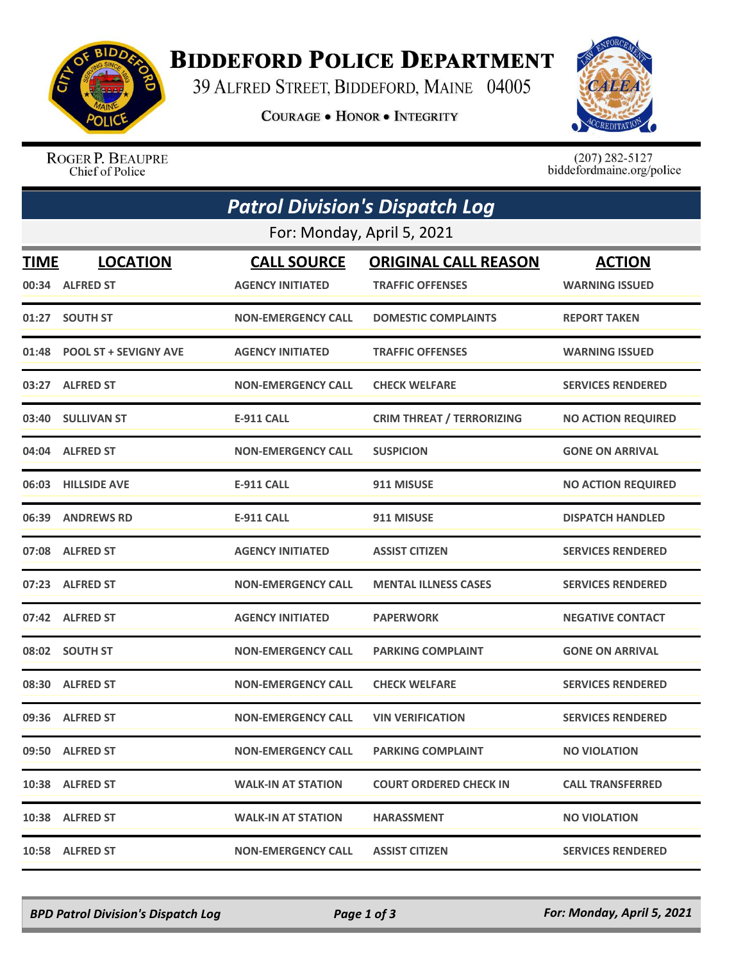

## **BIDDEFORD POLICE DEPARTMENT**

39 ALFRED STREET, BIDDEFORD, MAINE 04005

**COURAGE . HONOR . INTEGRITY** 



ROGER P. BEAUPRE Chief of Police

 $(207)$  282-5127<br>biddefordmaine.org/police

| <b>Patrol Division's Dispatch Log</b><br>For: Monday, April 5, 2021 |                              |                           |                                  |                           |  |  |  |
|---------------------------------------------------------------------|------------------------------|---------------------------|----------------------------------|---------------------------|--|--|--|
|                                                                     |                              |                           |                                  |                           |  |  |  |
|                                                                     | 00:34 ALFRED ST              | <b>AGENCY INITIATED</b>   | <b>TRAFFIC OFFENSES</b>          | <b>WARNING ISSUED</b>     |  |  |  |
|                                                                     | 01:27 SOUTH ST               | <b>NON-EMERGENCY CALL</b> | <b>DOMESTIC COMPLAINTS</b>       | <b>REPORT TAKEN</b>       |  |  |  |
| 01:48                                                               | <b>POOL ST + SEVIGNY AVE</b> | <b>AGENCY INITIATED</b>   | <b>TRAFFIC OFFENSES</b>          | <b>WARNING ISSUED</b>     |  |  |  |
|                                                                     | 03:27 ALFRED ST              | <b>NON-EMERGENCY CALL</b> | <b>CHECK WELFARE</b>             | <b>SERVICES RENDERED</b>  |  |  |  |
|                                                                     | 03:40 SULLIVAN ST            | <b>E-911 CALL</b>         | <b>CRIM THREAT / TERRORIZING</b> | <b>NO ACTION REQUIRED</b> |  |  |  |
|                                                                     | 04:04 ALFRED ST              | <b>NON-EMERGENCY CALL</b> | <b>SUSPICION</b>                 | <b>GONE ON ARRIVAL</b>    |  |  |  |
|                                                                     | 06:03 HILLSIDE AVE           | <b>E-911 CALL</b>         | 911 MISUSE                       | <b>NO ACTION REQUIRED</b> |  |  |  |
|                                                                     | 06:39 ANDREWS RD             | <b>E-911 CALL</b>         | 911 MISUSE                       | <b>DISPATCH HANDLED</b>   |  |  |  |
|                                                                     | 07:08 ALFRED ST              | <b>AGENCY INITIATED</b>   | <b>ASSIST CITIZEN</b>            | <b>SERVICES RENDERED</b>  |  |  |  |
|                                                                     | 07:23 ALFRED ST              | <b>NON-EMERGENCY CALL</b> | <b>MENTAL ILLNESS CASES</b>      | <b>SERVICES RENDERED</b>  |  |  |  |
|                                                                     | 07:42 ALFRED ST              | <b>AGENCY INITIATED</b>   | <b>PAPERWORK</b>                 | <b>NEGATIVE CONTACT</b>   |  |  |  |
|                                                                     | 08:02 SOUTH ST               | <b>NON-EMERGENCY CALL</b> | <b>PARKING COMPLAINT</b>         | <b>GONE ON ARRIVAL</b>    |  |  |  |
|                                                                     | 08:30 ALFRED ST              | <b>NON-EMERGENCY CALL</b> | <b>CHECK WELFARE</b>             | <b>SERVICES RENDERED</b>  |  |  |  |
|                                                                     | 09:36 ALFRED ST              | <b>NON-EMERGENCY CALL</b> | <b>VIN VERIFICATION</b>          | <b>SERVICES RENDERED</b>  |  |  |  |
|                                                                     | 09:50 ALFRED ST              | <b>NON-EMERGENCY CALL</b> | <b>PARKING COMPLAINT</b>         | <b>NO VIOLATION</b>       |  |  |  |
|                                                                     | 10:38 ALFRED ST              | <b>WALK-IN AT STATION</b> | <b>COURT ORDERED CHECK IN</b>    | <b>CALL TRANSFERRED</b>   |  |  |  |
|                                                                     | 10:38 ALFRED ST              | <b>WALK-IN AT STATION</b> | <b>HARASSMENT</b>                | <b>NO VIOLATION</b>       |  |  |  |
|                                                                     | 10:58 ALFRED ST              | <b>NON-EMERGENCY CALL</b> | <b>ASSIST CITIZEN</b>            | <b>SERVICES RENDERED</b>  |  |  |  |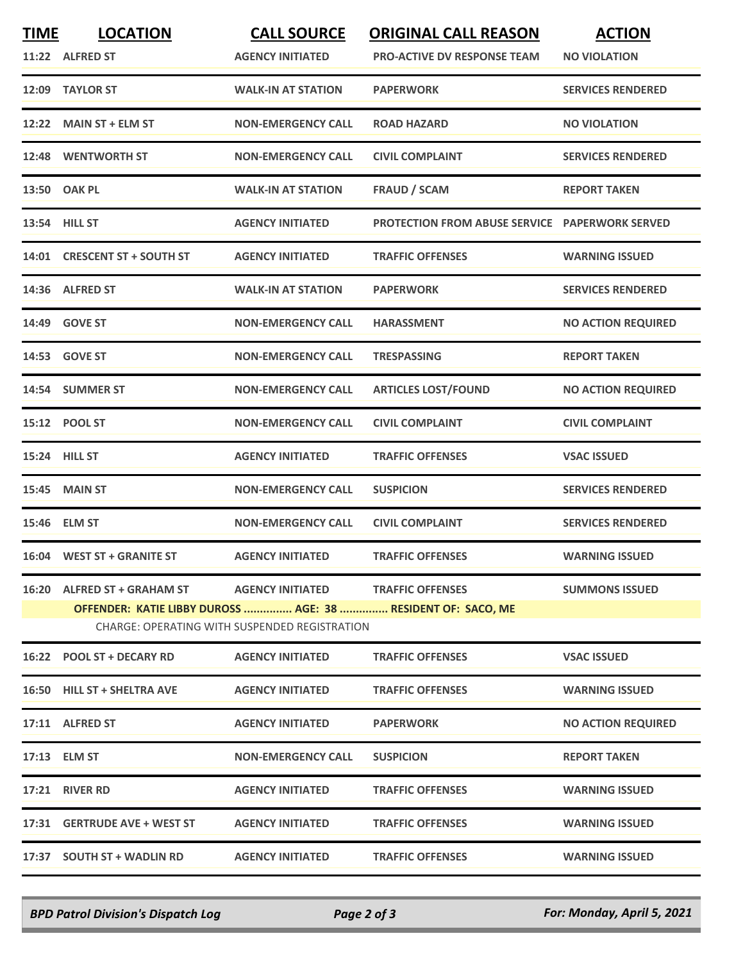| <b>TIME</b> | <b>LOCATION</b>                                              | <b>CALL SOURCE</b>                            | <b>ORIGINAL CALL REASON</b>                           | <b>ACTION</b>             |
|-------------|--------------------------------------------------------------|-----------------------------------------------|-------------------------------------------------------|---------------------------|
|             | 11:22 ALFRED ST                                              | <b>AGENCY INITIATED</b>                       | <b>PRO-ACTIVE DV RESPONSE TEAM</b>                    | <b>NO VIOLATION</b>       |
|             | 12:09 TAYLOR ST                                              | <b>WALK-IN AT STATION</b>                     | <b>PAPERWORK</b>                                      | <b>SERVICES RENDERED</b>  |
|             | 12:22 MAIN ST + ELM ST                                       | <b>NON-EMERGENCY CALL</b>                     | <b>ROAD HAZARD</b>                                    | <b>NO VIOLATION</b>       |
|             | 12:48 WENTWORTH ST                                           | <b>NON-EMERGENCY CALL</b>                     | <b>CIVIL COMPLAINT</b>                                | <b>SERVICES RENDERED</b>  |
|             | 13:50 OAK PL                                                 | <b>WALK-IN AT STATION</b>                     | <b>FRAUD / SCAM</b>                                   | <b>REPORT TAKEN</b>       |
|             | 13:54 HILL ST                                                | <b>AGENCY INITIATED</b>                       | <b>PROTECTION FROM ABUSE SERVICE PAPERWORK SERVED</b> |                           |
|             | 14:01 CRESCENT ST + SOUTH ST                                 | <b>AGENCY INITIATED</b>                       | <b>TRAFFIC OFFENSES</b>                               | <b>WARNING ISSUED</b>     |
|             | 14:36 ALFRED ST                                              | <b>WALK-IN AT STATION</b>                     | <b>PAPERWORK</b>                                      | <b>SERVICES RENDERED</b>  |
|             | 14:49 GOVE ST                                                | <b>NON-EMERGENCY CALL</b>                     | <b>HARASSMENT</b>                                     | <b>NO ACTION REQUIRED</b> |
|             | 14:53 GOVE ST                                                | <b>NON-EMERGENCY CALL</b>                     | <b>TRESPASSING</b>                                    | <b>REPORT TAKEN</b>       |
|             | 14:54 SUMMER ST                                              | <b>NON-EMERGENCY CALL</b>                     | <b>ARTICLES LOST/FOUND</b>                            | <b>NO ACTION REQUIRED</b> |
|             | 15:12 POOL ST                                                | <b>NON-EMERGENCY CALL</b>                     | <b>CIVIL COMPLAINT</b>                                | <b>CIVIL COMPLAINT</b>    |
|             | 15:24 HILL ST                                                | <b>AGENCY INITIATED</b>                       | <b>TRAFFIC OFFENSES</b>                               | <b>VSAC ISSUED</b>        |
|             | 15:45 MAIN ST                                                | <b>NON-EMERGENCY CALL</b>                     | <b>SUSPICION</b>                                      | <b>SERVICES RENDERED</b>  |
|             | 15:46 ELM ST                                                 | <b>NON-EMERGENCY CALL</b>                     | <b>CIVIL COMPLAINT</b>                                | <b>SERVICES RENDERED</b>  |
|             | 16:04 WEST ST + GRANITE ST                                   | <b>AGENCY INITIATED</b>                       | <b>TRAFFIC OFFENSES</b>                               | <b>WARNING ISSUED</b>     |
|             | 16:20 ALFRED ST + GRAHAM ST                                  | <b>AGENCY INITIATED</b>                       | <b>TRAFFIC OFFENSES</b>                               | <b>SUMMONS ISSUED</b>     |
|             | OFFENDER: KATIE LIBBY DUROSS  AGE: 38  RESIDENT OF: SACO, ME | CHARGE: OPERATING WITH SUSPENDED REGISTRATION |                                                       |                           |
|             | 16:22 POOL ST + DECARY RD                                    | <b>AGENCY INITIATED</b>                       | <b>TRAFFIC OFFENSES</b>                               | <b>VSAC ISSUED</b>        |
|             | 16:50 HILL ST + SHELTRA AVE                                  | <b>AGENCY INITIATED</b>                       | <b>TRAFFIC OFFENSES</b>                               | <b>WARNING ISSUED</b>     |
|             | 17:11 ALFRED ST                                              | <b>AGENCY INITIATED</b>                       | <b>PAPERWORK</b>                                      | <b>NO ACTION REQUIRED</b> |
|             | 17:13 ELM ST                                                 | <b>NON-EMERGENCY CALL</b>                     | <b>SUSPICION</b>                                      | <b>REPORT TAKEN</b>       |
|             | 17:21 RIVER RD                                               | <b>AGENCY INITIATED</b>                       | <b>TRAFFIC OFFENSES</b>                               | <b>WARNING ISSUED</b>     |
|             | 17:31 GERTRUDE AVE + WEST ST                                 | <b>AGENCY INITIATED</b>                       | <b>TRAFFIC OFFENSES</b>                               | <b>WARNING ISSUED</b>     |
|             | 17:37 SOUTH ST + WADLIN RD                                   | <b>AGENCY INITIATED</b>                       | <b>TRAFFIC OFFENSES</b>                               | <b>WARNING ISSUED</b>     |
|             |                                                              |                                               |                                                       |                           |

*BPD Patrol Division's Dispatch Log Page 2 of 3 For: Monday, April 5, 2021*